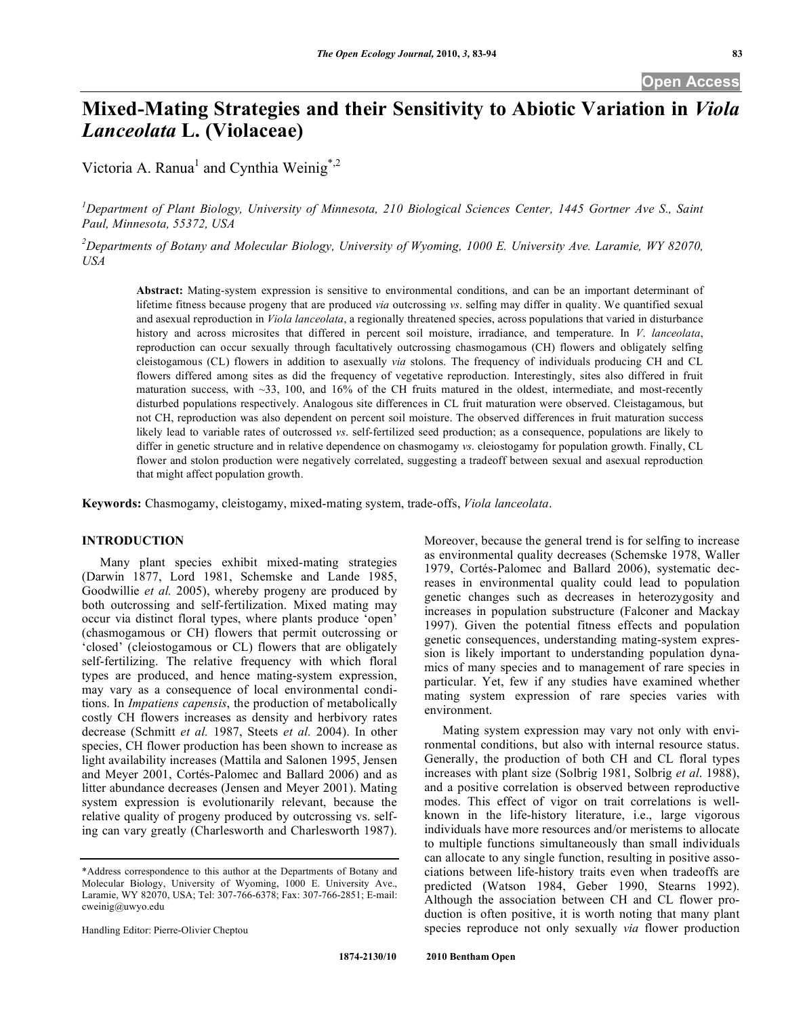# **Mixed-Mating Strategies and their Sensitivity to Abiotic Variation in** *Viola Lanceolata* **L. (Violaceae)**

Victoria A. Ranua<sup>1</sup> and Cynthia Weinig<sup>\*,2</sup>

<sup>1</sup>Department of Plant Biology, University of Minnesota, 210 Biological Sciences Center, 1445 Gortner Ave S., Saint *Paul, Minnesota, 55372, USA*

 $^2$ Departments of Botany and Molecular Biology, University of Wyoming, 1000 E. University Ave. Laramie, WY 82070, *USA*

**Abstract:** Mating-system expression is sensitive to environmental conditions, and can be an important determinant of lifetime fitness because progeny that are produced *via* outcrossing *vs*. selfing may differ in quality. We quantified sexual and asexual reproduction in *Viola lanceolata*, a regionally threatened species, across populations that varied in disturbance history and across microsites that differed in percent soil moisture, irradiance, and temperature. In *V*. *lanceolata*, reproduction can occur sexually through facultatively outcrossing chasmogamous (CH) flowers and obligately selfing cleistogamous (CL) flowers in addition to asexually *via* stolons. The frequency of individuals producing CH and CL flowers differed among sites as did the frequency of vegetative reproduction. Interestingly, sites also differed in fruit maturation success, with  $\sim$ 33, 100, and 16% of the CH fruits matured in the oldest, intermediate, and most-recently disturbed populations respectively. Analogous site differences in CL fruit maturation were observed. Cleistagamous, but not CH, reproduction was also dependent on percent soil moisture. The observed differences in fruit maturation success likely lead to variable rates of outcrossed *vs*. self-fertilized seed production; as a consequence, populations are likely to differ in genetic structure and in relative dependence on chasmogamy *vs*. cleiostogamy for population growth. Finally, CL flower and stolon production were negatively correlated, suggesting a tradeoff between sexual and asexual reproduction that might affect population growth.

**Keywords:** Chasmogamy, cleistogamy, mixed-mating system, trade-offs, *Viola lanceolata*.

# **INTRODUCTION**

Many plant species exhibit mixed-mating strategies (Darwin 1877, Lord 1981, Schemske and Lande 1985, Goodwillie *et al.* 2005), whereby progeny are produced by both outcrossing and self-fertilization. Mixed mating may occur via distinct floral types, where plants produce 'open' (chasmogamous or CH) flowers that permit outcrossing or 'closed' (cleiostogamous or CL) flowers that are obligately self-fertilizing. The relative frequency with which floral types are produced, and hence mating-system expression, may vary as a consequence of local environmental conditions. In *Impatiens capensis*, the production of metabolically costly CH flowers increases as density and herbivory rates decrease (Schmitt *et al.* 1987, Steets *et al.* 2004). In other species, CH flower production has been shown to increase as light availability increases (Mattila and Salonen 1995, Jensen and Meyer 2001, Cortés-Palomec and Ballard 2006) and as litter abundance decreases (Jensen and Meyer 2001). Mating system expression is evolutionarily relevant, because the relative quality of progeny produced by outcrossing vs. selfing can vary greatly (Charlesworth and Charlesworth 1987).

Handling Editor: Pierre-Olivier Cheptou

Moreover, because the general trend is for selfing to increase as environmental quality decreases (Schemske 1978, Waller 1979, Cortés-Palomec and Ballard 2006), systematic decreases in environmental quality could lead to population genetic changes such as decreases in heterozygosity and increases in population substructure (Falconer and Mackay 1997). Given the potential fitness effects and population genetic consequences, understanding mating-system expression is likely important to understanding population dynamics of many species and to management of rare species in particular. Yet, few if any studies have examined whether mating system expression of rare species varies with environment.

Mating system expression may vary not only with environmental conditions, but also with internal resource status. Generally, the production of both CH and CL floral types increases with plant size (Solbrig 1981, Solbrig *et al*. 1988), and a positive correlation is observed between reproductive modes. This effect of vigor on trait correlations is wellknown in the life-history literature, i.e., large vigorous individuals have more resources and/or meristems to allocate to multiple functions simultaneously than small individuals can allocate to any single function, resulting in positive associations between life-history traits even when tradeoffs are predicted (Watson 1984, Geber 1990, Stearns 1992). Although the association between CH and CL flower production is often positive, it is worth noting that many plant species reproduce not only sexually *via* flower production

<sup>\*</sup>Address correspondence to this author at the Departments of Botany and Molecular Biology, University of Wyoming, 1000 E. University Ave., Laramie, WY 82070, USA; Tel: 307-766-6378; Fax: 307-766-2851; E-mail: cweinig@uwyo.edu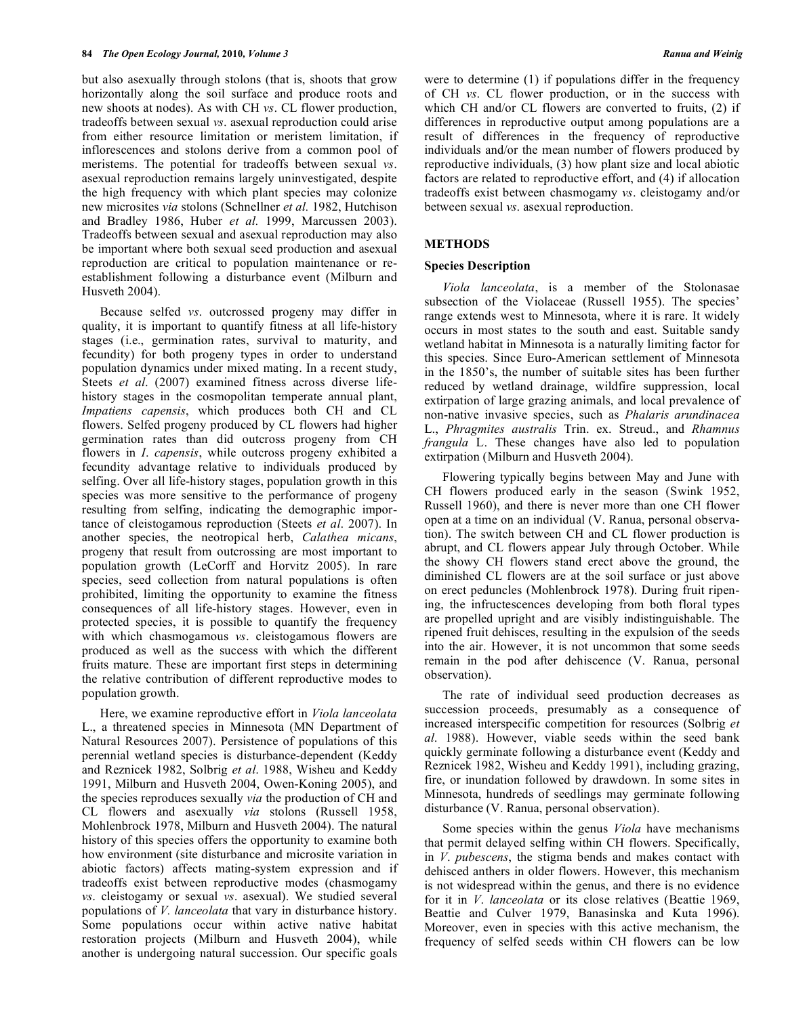but also asexually through stolons (that is, shoots that grow horizontally along the soil surface and produce roots and new shoots at nodes). As with CH *vs*. CL flower production, tradeoffs between sexual *vs*. asexual reproduction could arise from either resource limitation or meristem limitation, if inflorescences and stolons derive from a common pool of meristems. The potential for tradeoffs between sexual *vs*. asexual reproduction remains largely uninvestigated, despite the high frequency with which plant species may colonize new microsites *via* stolons (Schnellner *et al.* 1982, Hutchison and Bradley 1986, Huber *et al.* 1999, Marcussen 2003). Tradeoffs between sexual and asexual reproduction may also be important where both sexual seed production and asexual reproduction are critical to population maintenance or reestablishment following a disturbance event (Milburn and Husveth 2004).

Because selfed *vs*. outcrossed progeny may differ in quality, it is important to quantify fitness at all life-history stages (i.e., germination rates, survival to maturity, and fecundity) for both progeny types in order to understand population dynamics under mixed mating. In a recent study, Steets *et al*. (2007) examined fitness across diverse lifehistory stages in the cosmopolitan temperate annual plant, *Impatiens capensis*, which produces both CH and CL flowers. Selfed progeny produced by CL flowers had higher germination rates than did outcross progeny from CH flowers in *I*. *capensis*, while outcross progeny exhibited a fecundity advantage relative to individuals produced by selfing. Over all life-history stages, population growth in this species was more sensitive to the performance of progeny resulting from selfing, indicating the demographic importance of cleistogamous reproduction (Steets *et al*. 2007). In another species, the neotropical herb, *Calathea micans*, progeny that result from outcrossing are most important to population growth (LeCorff and Horvitz 2005). In rare species, seed collection from natural populations is often prohibited, limiting the opportunity to examine the fitness consequences of all life-history stages. However, even in protected species, it is possible to quantify the frequency with which chasmogamous *vs*. cleistogamous flowers are produced as well as the success with which the different fruits mature. These are important first steps in determining the relative contribution of different reproductive modes to population growth.

Here, we examine reproductive effort in *Viola lanceolata* L., a threatened species in Minnesota (MN Department of Natural Resources 2007). Persistence of populations of this perennial wetland species is disturbance-dependent (Keddy and Reznicek 1982, Solbrig *et al*. 1988, Wisheu and Keddy 1991, Milburn and Husveth 2004, Owen-Koning 2005), and the species reproduces sexually *via* the production of CH and CL flowers and asexually *via* stolons (Russell 1958, Mohlenbrock 1978, Milburn and Husveth 2004). The natural history of this species offers the opportunity to examine both how environment (site disturbance and microsite variation in abiotic factors) affects mating-system expression and if tradeoffs exist between reproductive modes (chasmogamy *vs*. cleistogamy or sexual *vs*. asexual). We studied several populations of *V. lanceolata* that vary in disturbance history. Some populations occur within active native habitat restoration projects (Milburn and Husveth 2004), while another is undergoing natural succession. Our specific goals

were to determine (1) if populations differ in the frequency of CH *vs*. CL flower production, or in the success with which CH and/or CL flowers are converted to fruits, (2) if differences in reproductive output among populations are a result of differences in the frequency of reproductive individuals and/or the mean number of flowers produced by reproductive individuals, (3) how plant size and local abiotic factors are related to reproductive effort, and (4) if allocation tradeoffs exist between chasmogamy *vs*. cleistogamy and/or between sexual *vs*. asexual reproduction.

# **METHODS**

# **Species Description**

*Viola lanceolata*, is a member of the Stolonasae subsection of the Violaceae (Russell 1955). The species' range extends west to Minnesota, where it is rare. It widely occurs in most states to the south and east. Suitable sandy wetland habitat in Minnesota is a naturally limiting factor for this species. Since Euro-American settlement of Minnesota in the 1850's, the number of suitable sites has been further reduced by wetland drainage, wildfire suppression, local extirpation of large grazing animals, and local prevalence of non-native invasive species, such as *Phalaris arundinacea* L., *Phragmites australis* Trin. ex. Streud., and *Rhamnus frangula* L. These changes have also led to population extirpation (Milburn and Husveth 2004).

Flowering typically begins between May and June with CH flowers produced early in the season (Swink 1952, Russell 1960), and there is never more than one CH flower open at a time on an individual (V. Ranua, personal observation). The switch between CH and CL flower production is abrupt, and CL flowers appear July through October. While the showy CH flowers stand erect above the ground, the diminished CL flowers are at the soil surface or just above on erect peduncles (Mohlenbrock 1978). During fruit ripening, the infructescences developing from both floral types are propelled upright and are visibly indistinguishable. The ripened fruit dehisces, resulting in the expulsion of the seeds into the air. However, it is not uncommon that some seeds remain in the pod after dehiscence (V. Ranua, personal observation).

The rate of individual seed production decreases as succession proceeds, presumably as a consequence of increased interspecific competition for resources (Solbrig *et al*. 1988). However, viable seeds within the seed bank quickly germinate following a disturbance event (Keddy and Reznicek 1982, Wisheu and Keddy 1991), including grazing, fire, or inundation followed by drawdown. In some sites in Minnesota, hundreds of seedlings may germinate following disturbance (V. Ranua, personal observation).

Some species within the genus *Viola* have mechanisms that permit delayed selfing within CH flowers. Specifically, in *V*. *pubescens*, the stigma bends and makes contact with dehisced anthers in older flowers. However, this mechanism is not widespread within the genus, and there is no evidence for it in *V*. *lanceolata* or its close relatives (Beattie 1969, Beattie and Culver 1979, Banasinska and Kuta 1996). Moreover, even in species with this active mechanism, the frequency of selfed seeds within CH flowers can be low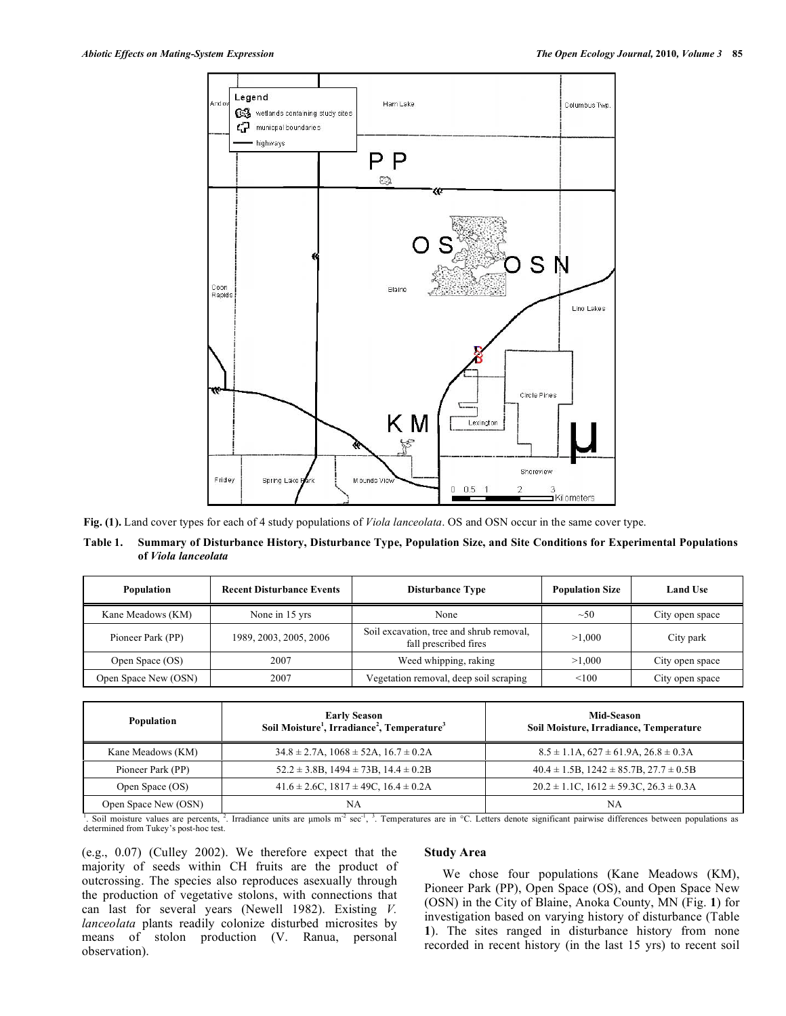

**Fig. (1).** Land cover types for each of 4 study populations of *Viola lanceolata*. OS and OSN occur in the same cover type.

Table 1. Summary of Disturbance History, Disturbance Type, Population Size, and Site Conditions for Experimental Populations **of** *Viola lanceolata*

| <b>Population</b>    | <b>Recent Disturbance Events</b> | <b>Disturbance Type</b>                                           | <b>Population Size</b> | <b>Land Use</b> |  |  |
|----------------------|----------------------------------|-------------------------------------------------------------------|------------------------|-----------------|--|--|
| Kane Meadows (KM)    | None in 15 yrs                   | None                                                              | $\sim 50$              | City open space |  |  |
| Pioneer Park (PP)    | 1989, 2003, 2005, 2006           | Soil excavation, tree and shrub removal,<br>fall prescribed fires | >1.000                 | City park       |  |  |
| Open Space (OS)      | 2007                             | Weed whipping, raking                                             | >1.000                 | City open space |  |  |
| Open Space New (OSN) | 2007                             | Vegetation removal, deep soil scraping                            | < 100                  | City open space |  |  |

| Population           | <b>Early Season</b><br>Soil Moisture <sup>1</sup> , Irradiance <sup>2</sup> , Temperature <sup>3</sup> | <b>Mid-Season</b><br>Soil Moisture, Irradiance, Temperature |
|----------------------|--------------------------------------------------------------------------------------------------------|-------------------------------------------------------------|
| Kane Meadows (KM)    | $34.8 \pm 2.7$ A, $1068 \pm 52$ A, $16.7 \pm 0.2$ A                                                    | $8.5 \pm 1.1$ A, $627 \pm 61.9$ A, $26.8 \pm 0.3$ A         |
| Pioneer Park (PP)    | $52.2 \pm 3.8B$ , $1494 \pm 73B$ , $14.4 \pm 0.2B$                                                     | $40.4 \pm 1.5B$ , $1242 \pm 85.7B$ , $27.7 \pm 0.5B$        |
| Open Space (OS)      | $41.6 \pm 2.6$ C, $1817 \pm 49$ C, $16.4 \pm 0.2$ A                                                    | $20.2 \pm 1.1$ C, $1612 \pm 59.3$ C, $26.3 \pm 0.3$ A       |
| Open Space New (OSN) | NA                                                                                                     | NA                                                          |

<sup>1</sup>. Soil moisture values are percents, <sup>2</sup>. Irradiance units are µmols m<sup>-2</sup> sec<sup>-1</sup>, <sup>3</sup>. Temperatures are in °C. Letters denote significant pairwise differences between populations as determined from Tukey's post-hoc test.

(e.g., 0.07) (Culley 2002). We therefore expect that the majority of seeds within CH fruits are the product of outcrossing. The species also reproduces asexually through the production of vegetative stolons, with connections that can last for several years (Newell 1982). Existing *V. lanceolata* plants readily colonize disturbed microsites by means of stolon production (V. Ranua, personal observation).

## **Study Area**

We chose four populations (Kane Meadows (KM), Pioneer Park (PP), Open Space (OS), and Open Space New (OSN) in the City of Blaine, Anoka County, MN (Fig. **1**) for investigation based on varying history of disturbance (Table **1**). The sites ranged in disturbance history from none recorded in recent history (in the last 15 yrs) to recent soil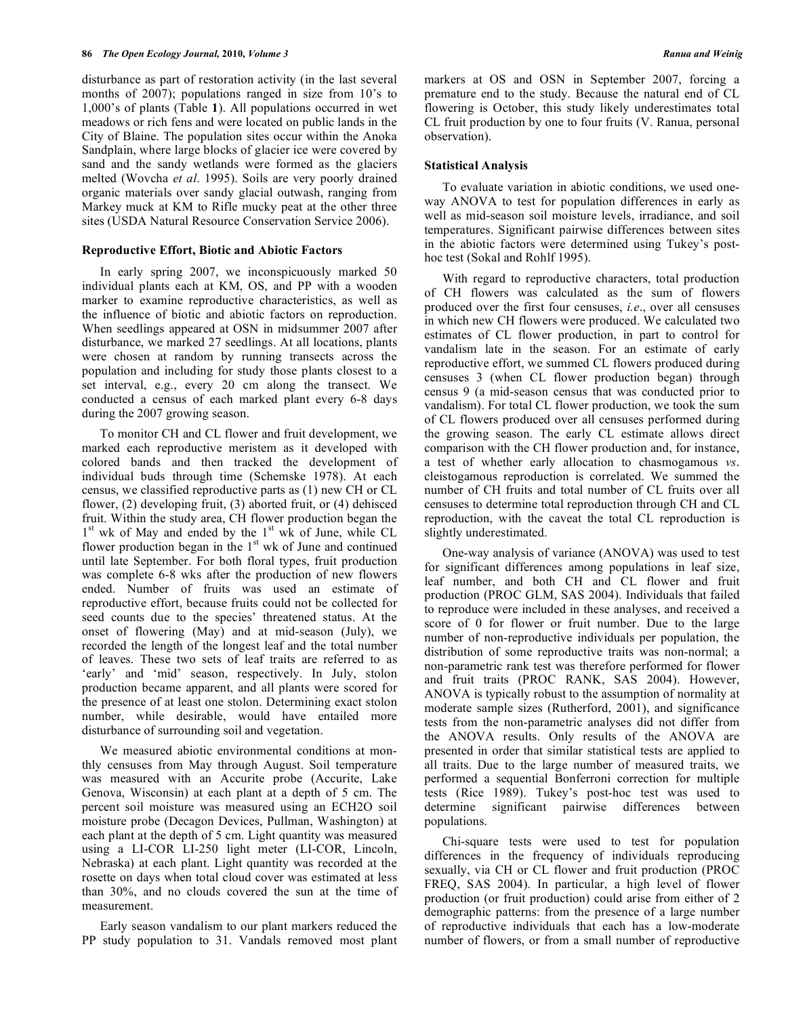### **86** *The Open Ecology Journal,* **2010***, Volume 3 Ranua and Weinig*

disturbance as part of restoration activity (in the last several months of 2007); populations ranged in size from 10's to 1,000's of plants (Table **1**). All populations occurred in wet meadows or rich fens and were located on public lands in the City of Blaine. The population sites occur within the Anoka Sandplain, where large blocks of glacier ice were covered by sand and the sandy wetlands were formed as the glaciers melted (Wovcha *et al*. 1995). Soils are very poorly drained organic materials over sandy glacial outwash, ranging from Markey muck at KM to Rifle mucky peat at the other three sites (USDA Natural Resource Conservation Service 2006).

### **Reproductive Effort, Biotic and Abiotic Factors**

In early spring 2007, we inconspicuously marked 50 individual plants each at KM, OS, and PP with a wooden marker to examine reproductive characteristics, as well as the influence of biotic and abiotic factors on reproduction. When seedlings appeared at OSN in midsummer 2007 after disturbance, we marked 27 seedlings. At all locations, plants were chosen at random by running transects across the population and including for study those plants closest to a set interval, e.g., every 20 cm along the transect. We conducted a census of each marked plant every 6-8 days during the 2007 growing season.

To monitor CH and CL flower and fruit development, we marked each reproductive meristem as it developed with colored bands and then tracked the development of individual buds through time (Schemske 1978). At each census, we classified reproductive parts as (1) new CH or CL flower, (2) developing fruit, (3) aborted fruit, or (4) dehisced fruit. Within the study area, CH flower production began the 1<sup>st</sup> wk of May and ended by the 1<sup>st</sup> wk of June, while CL flower production began in the  $1<sup>st</sup>$  wk of June and continued until late September. For both floral types, fruit production was complete 6-8 wks after the production of new flowers ended. Number of fruits was used an estimate of reproductive effort, because fruits could not be collected for seed counts due to the species' threatened status. At the onset of flowering (May) and at mid-season (July), we recorded the length of the longest leaf and the total number of leaves. These two sets of leaf traits are referred to as 'early' and 'mid' season, respectively. In July, stolon production became apparent, and all plants were scored for the presence of at least one stolon. Determining exact stolon number, while desirable, would have entailed more disturbance of surrounding soil and vegetation.

We measured abiotic environmental conditions at monthly censuses from May through August. Soil temperature was measured with an Accurite probe (Accurite, Lake Genova, Wisconsin) at each plant at a depth of 5 cm. The percent soil moisture was measured using an ECH2O soil moisture probe (Decagon Devices, Pullman, Washington) at each plant at the depth of 5 cm. Light quantity was measured using a LI-COR LI-250 light meter (LI-COR, Lincoln, Nebraska) at each plant. Light quantity was recorded at the rosette on days when total cloud cover was estimated at less than 30%, and no clouds covered the sun at the time of measurement.

Early season vandalism to our plant markers reduced the PP study population to 31. Vandals removed most plant markers at OS and OSN in September 2007, forcing a premature end to the study. Because the natural end of CL flowering is October, this study likely underestimates total CL fruit production by one to four fruits (V. Ranua, personal observation).

### **Statistical Analysis**

To evaluate variation in abiotic conditions, we used oneway ANOVA to test for population differences in early as well as mid-season soil moisture levels, irradiance, and soil temperatures. Significant pairwise differences between sites in the abiotic factors were determined using Tukey's posthoc test (Sokal and Rohlf 1995).

With regard to reproductive characters, total production of CH flowers was calculated as the sum of flowers produced over the first four censuses, *i.e*., over all censuses in which new CH flowers were produced. We calculated two estimates of CL flower production, in part to control for vandalism late in the season. For an estimate of early reproductive effort, we summed CL flowers produced during censuses 3 (when CL flower production began) through census 9 (a mid-season census that was conducted prior to vandalism). For total CL flower production, we took the sum of CL flowers produced over all censuses performed during the growing season. The early CL estimate allows direct comparison with the CH flower production and, for instance, a test of whether early allocation to chasmogamous *vs*. cleistogamous reproduction is correlated. We summed the number of CH fruits and total number of CL fruits over all censuses to determine total reproduction through CH and CL reproduction, with the caveat the total CL reproduction is slightly underestimated.

One-way analysis of variance (ANOVA) was used to test for significant differences among populations in leaf size, leaf number, and both CH and CL flower and fruit production (PROC GLM, SAS 2004). Individuals that failed to reproduce were included in these analyses, and received a score of 0 for flower or fruit number. Due to the large number of non-reproductive individuals per population, the distribution of some reproductive traits was non-normal; a non-parametric rank test was therefore performed for flower and fruit traits (PROC RANK, SAS 2004). However, ANOVA is typically robust to the assumption of normality at moderate sample sizes (Rutherford, 2001), and significance tests from the non-parametric analyses did not differ from the ANOVA results. Only results of the ANOVA are presented in order that similar statistical tests are applied to all traits. Due to the large number of measured traits, we performed a sequential Bonferroni correction for multiple tests (Rice 1989). Tukey's post-hoc test was used to determine significant pairwise differences between populations.

Chi-square tests were used to test for population differences in the frequency of individuals reproducing sexually, via CH or CL flower and fruit production (PROC FREQ, SAS 2004). In particular, a high level of flower production (or fruit production) could arise from either of 2 demographic patterns: from the presence of a large number of reproductive individuals that each has a low-moderate number of flowers, or from a small number of reproductive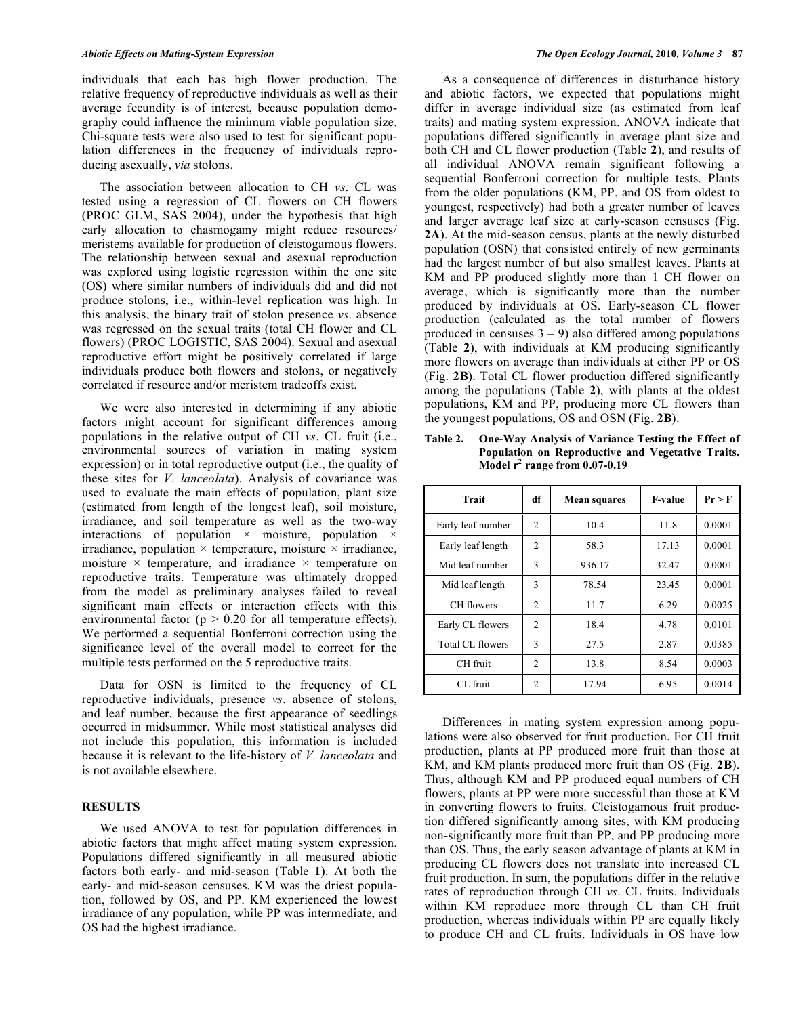individuals that each has high flower production. The relative frequency of reproductive individuals as well as their average fecundity is of interest, because population demography could influence the minimum viable population size. Chi-square tests were also used to test for significant population differences in the frequency of individuals reproducing asexually, *via* stolons.

The association between allocation to CH *vs*. CL was tested using a regression of CL flowers on CH flowers (PROC GLM, SAS 2004), under the hypothesis that high early allocation to chasmogamy might reduce resources/ meristems available for production of cleistogamous flowers. The relationship between sexual and asexual reproduction was explored using logistic regression within the one site (OS) where similar numbers of individuals did and did not produce stolons, i.e., within-level replication was high. In this analysis, the binary trait of stolon presence *vs*. absence was regressed on the sexual traits (total CH flower and CL flowers) (PROC LOGISTIC, SAS 2004). Sexual and asexual reproductive effort might be positively correlated if large individuals produce both flowers and stolons, or negatively correlated if resource and/or meristem tradeoffs exist.

We were also interested in determining if any abiotic factors might account for significant differences among populations in the relative output of CH *vs*. CL fruit (i.e., environmental sources of variation in mating system expression) or in total reproductive output (i.e., the quality of these sites for *V*. *lanceolata*). Analysis of covariance was used to evaluate the main effects of population, plant size (estimated from length of the longest leaf), soil moisture, irradiance, and soil temperature as well as the two-way interactions of population  $\times$  moisture, population  $\times$ irradiance, population  $\times$  temperature, moisture  $\times$  irradiance, moisture  $\times$  temperature, and irradiance  $\times$  temperature on reproductive traits. Temperature was ultimately dropped from the model as preliminary analyses failed to reveal significant main effects or interaction effects with this environmental factor ( $p > 0.20$  for all temperature effects). We performed a sequential Bonferroni correction using the significance level of the overall model to correct for the multiple tests performed on the 5 reproductive traits.

Data for OSN is limited to the frequency of CL reproductive individuals, presence *vs*. absence of stolons, and leaf number, because the first appearance of seedlings occurred in midsummer. While most statistical analyses did not include this population, this information is included because it is relevant to the life-history of *V. lanceolata* and is not available elsewhere.

# **RESULTS**

We used ANOVA to test for population differences in abiotic factors that might affect mating system expression. Populations differed significantly in all measured abiotic factors both early- and mid-season (Table **1**). At both the early- and mid-season censuses, KM was the driest population, followed by OS, and PP. KM experienced the lowest irradiance of any population, while PP was intermediate, and OS had the highest irradiance.

As a consequence of differences in disturbance history and abiotic factors, we expected that populations might differ in average individual size (as estimated from leaf traits) and mating system expression. ANOVA indicate that populations differed significantly in average plant size and both CH and CL flower production (Table **2**), and results of all individual ANOVA remain significant following a sequential Bonferroni correction for multiple tests. Plants from the older populations (KM, PP, and OS from oldest to youngest, respectively) had both a greater number of leaves and larger average leaf size at early-season censuses (Fig. **2A**). At the mid-season census, plants at the newly disturbed population (OSN) that consisted entirely of new germinants had the largest number of but also smallest leaves. Plants at KM and PP produced slightly more than 1 CH flower on average, which is significantly more than the number produced by individuals at OS. Early-season CL flower production (calculated as the total number of flowers produced in censuses  $3 - 9$ ) also differed among populations (Table **2**), with individuals at KM producing significantly more flowers on average than individuals at either PP or OS (Fig. **2B**). Total CL flower production differed significantly among the populations (Table **2**), with plants at the oldest populations, KM and PP, producing more CL flowers than the youngest populations, OS and OSN (Fig. **2B**).

**Table 2. One-Way Analysis of Variance Testing the Effect of Population on Reproductive and Vegetative Traits. Model r <sup>2</sup> range from 0.07-0.19**

| Trait                   | df             | <b>Mean squares</b> | <b>F-value</b> | Pr > F |  |
|-------------------------|----------------|---------------------|----------------|--------|--|
| Early leaf number       | 2              | 10.4                | 11.8           | 0.0001 |  |
| Early leaf length       | 2              | 58.3                | 17.13          | 0.0001 |  |
| Mid leaf number         | 3              | 936.17              | 32.47          | 0.0001 |  |
| Mid leaf length         | 3              | 78.54               | 23.45          | 0.0001 |  |
| CH flowers              | $\mathfrak{D}$ | 11.7                | 6.29           | 0.0025 |  |
| Early CL flowers        | 2              | 18.4                | 4.78           | 0.0101 |  |
| <b>Total CL flowers</b> | 3              | 27.5                | 2.87           | 0.0385 |  |
| CH fruit                | $\overline{c}$ | 13.8                | 8.54           | 0.0003 |  |
| CL fruit                | $\mathfrak{D}$ | 17.94               | 6.95           | 0.0014 |  |

Differences in mating system expression among populations were also observed for fruit production. For CH fruit production, plants at PP produced more fruit than those at KM, and KM plants produced more fruit than OS (Fig. **2B**). Thus, although KM and PP produced equal numbers of CH flowers, plants at PP were more successful than those at KM in converting flowers to fruits. Cleistogamous fruit production differed significantly among sites, with KM producing non-significantly more fruit than PP, and PP producing more than OS. Thus, the early season advantage of plants at KM in producing CL flowers does not translate into increased CL fruit production. In sum, the populations differ in the relative rates of reproduction through CH *vs*. CL fruits. Individuals within KM reproduce more through CL than CH fruit production, whereas individuals within PP are equally likely to produce CH and CL fruits. Individuals in OS have low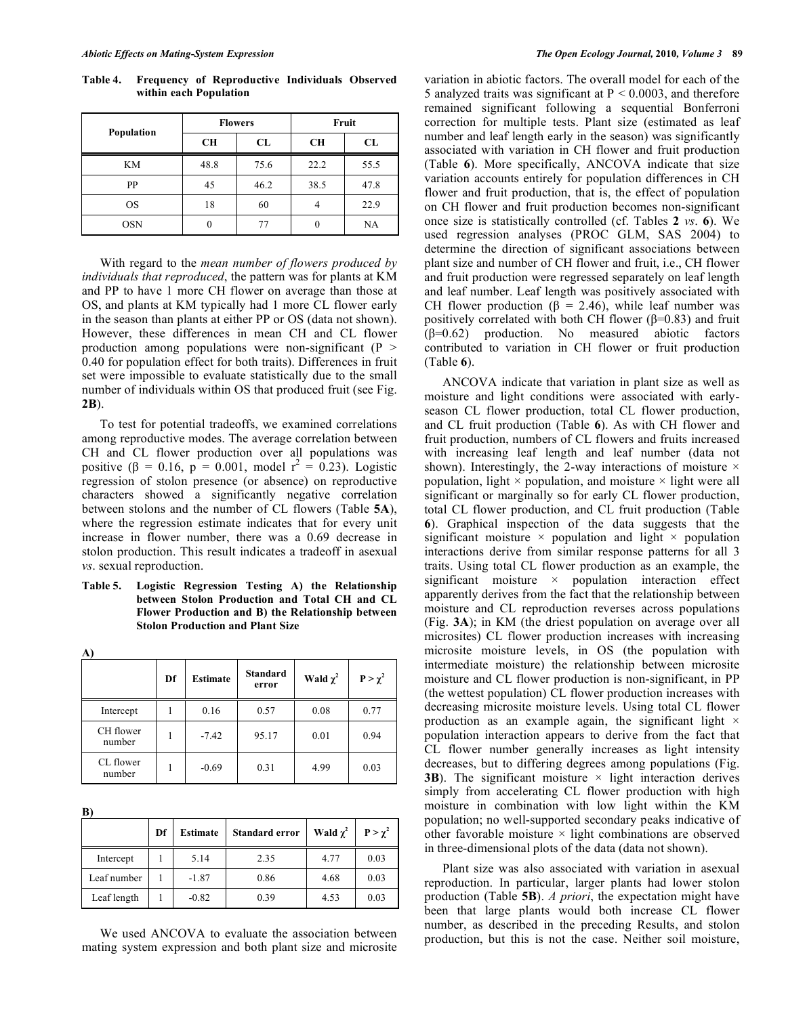| Population |           | <b>Flowers</b> | Fruit     |      |  |  |  |
|------------|-----------|----------------|-----------|------|--|--|--|
|            | <b>CH</b> | CL             | <b>CH</b> | CL   |  |  |  |
| <b>KM</b>  | 48.8      | 75.6           | 22.2      | 55.5 |  |  |  |
| PP         | 45        | 46.2           | 38.5      | 47.8 |  |  |  |
| <b>OS</b>  | 18        | 60             | 4         | 22.9 |  |  |  |
| <b>OSN</b> | 0         | 77             |           | NA   |  |  |  |

**Table 4. Frequency of Reproductive Individuals Observed within each Population**

With regard to the *mean number of flowers produced by individuals that reproduced*, the pattern was for plants at KM and PP to have 1 more CH flower on average than those at OS, and plants at KM typically had 1 more CL flower early in the season than plants at either PP or OS (data not shown). However, these differences in mean CH and CL flower production among populations were non-significant  $(P >$ 0.40 for population effect for both traits). Differences in fruit set were impossible to evaluate statistically due to the small number of individuals within OS that produced fruit (see Fig. **2B**).

To test for potential tradeoffs, we examined correlations among reproductive modes. The average correlation between CH and CL flower production over all populations was positive ( $\beta = 0.16$ ,  $p = 0.001$ , model  $r^2 = 0.23$ ). Logistic regression of stolon presence (or absence) on reproductive characters showed a significantly negative correlation between stolons and the number of CL flowers (Table **5A**), where the regression estimate indicates that for every unit increase in flower number, there was a 0.69 decrease in stolon production. This result indicates a tradeoff in asexual *vs*. sexual reproduction.

**Table 5. Logistic Regression Testing A) the Relationship between Stolon Production and Total CH and CL Flower Production and B) the Relationship between Stolon Production and Plant Size**

| A)                  |    |                 |                          |               |                |  |  |
|---------------------|----|-----------------|--------------------------|---------------|----------------|--|--|
|                     | Df | <b>Estimate</b> | <b>Standard</b><br>error | Wald $\chi^2$ | $P > \gamma^2$ |  |  |
| Intercept           |    | 0.16            | 0.57                     | 0.08          | 0.77           |  |  |
| CH flower<br>number | 1  | $-7.42$         | 95.17                    | 0.01          | 0.94           |  |  |
| CL flower<br>number |    | $-0.69$         | 0.31                     | 4.99          | 0.03           |  |  |

**B)**

**A)**

|             | Df | Estimate | <b>Standard error</b> | Wald $\chi^2$ | $P > \gamma^2$ |
|-------------|----|----------|-----------------------|---------------|----------------|
| Intercept   |    | 5.14     | 2.35                  | 4.77          | 0.03           |
| Leaf number |    | $-1.87$  | 0.86                  | 4.68          | 0.03           |
| Leaf length |    | $-0.82$  | 0.39                  | 4.53          | 0.03           |

We used ANCOVA to evaluate the association between mating system expression and both plant size and microsite variation in abiotic factors. The overall model for each of the 5 analyzed traits was significant at  $P < 0.0003$ , and therefore remained significant following a sequential Bonferroni correction for multiple tests. Plant size (estimated as leaf number and leaf length early in the season) was significantly associated with variation in CH flower and fruit production (Table **6**). More specifically, ANCOVA indicate that size variation accounts entirely for population differences in CH flower and fruit production, that is, the effect of population on CH flower and fruit production becomes non-significant once size is statistically controlled (cf. Tables **2** *vs*. **6**). We used regression analyses (PROC GLM, SAS 2004) to determine the direction of significant associations between plant size and number of CH flower and fruit, i.e., CH flower and fruit production were regressed separately on leaf length and leaf number. Leaf length was positively associated with CH flower production ( $\beta$  = 2.46), while leaf number was positively correlated with both CH flower ( $β=0.83$ ) and fruit (β=0.62) production. No measured abiotic factors contributed to variation in CH flower or fruit production (Table **6**).

ANCOVA indicate that variation in plant size as well as moisture and light conditions were associated with earlyseason CL flower production, total CL flower production, and CL fruit production (Table **6**). As with CH flower and fruit production, numbers of CL flowers and fruits increased with increasing leaf length and leaf number (data not shown). Interestingly, the 2-way interactions of moisture  $\times$ population, light  $\times$  population, and moisture  $\times$  light were all significant or marginally so for early CL flower production, total CL flower production, and CL fruit production (Table **6**). Graphical inspection of the data suggests that the significant moisture  $\times$  population and light  $\times$  population interactions derive from similar response patterns for all 3 traits. Using total CL flower production as an example, the significant moisture  $\times$  population interaction effect apparently derives from the fact that the relationship between moisture and CL reproduction reverses across populations (Fig. **3A**); in KM (the driest population on average over all microsites) CL flower production increases with increasing microsite moisture levels, in OS (the population with intermediate moisture) the relationship between microsite moisture and CL flower production is non-significant, in PP (the wettest population) CL flower production increases with decreasing microsite moisture levels. Using total CL flower production as an example again, the significant light  $\times$ population interaction appears to derive from the fact that CL flower number generally increases as light intensity decreases, but to differing degrees among populations (Fig. **3B**). The significant moisture  $\times$  light interaction derives simply from accelerating CL flower production with high moisture in combination with low light within the KM population; no well-supported secondary peaks indicative of other favorable moisture  $\times$  light combinations are observed in three-dimensional plots of the data (data not shown).

Plant size was also associated with variation in asexual reproduction. In particular, larger plants had lower stolon production (Table **5B**). *A priori*, the expectation might have been that large plants would both increase CL flower number, as described in the preceding Results, and stolon production, but this is not the case. Neither soil moisture,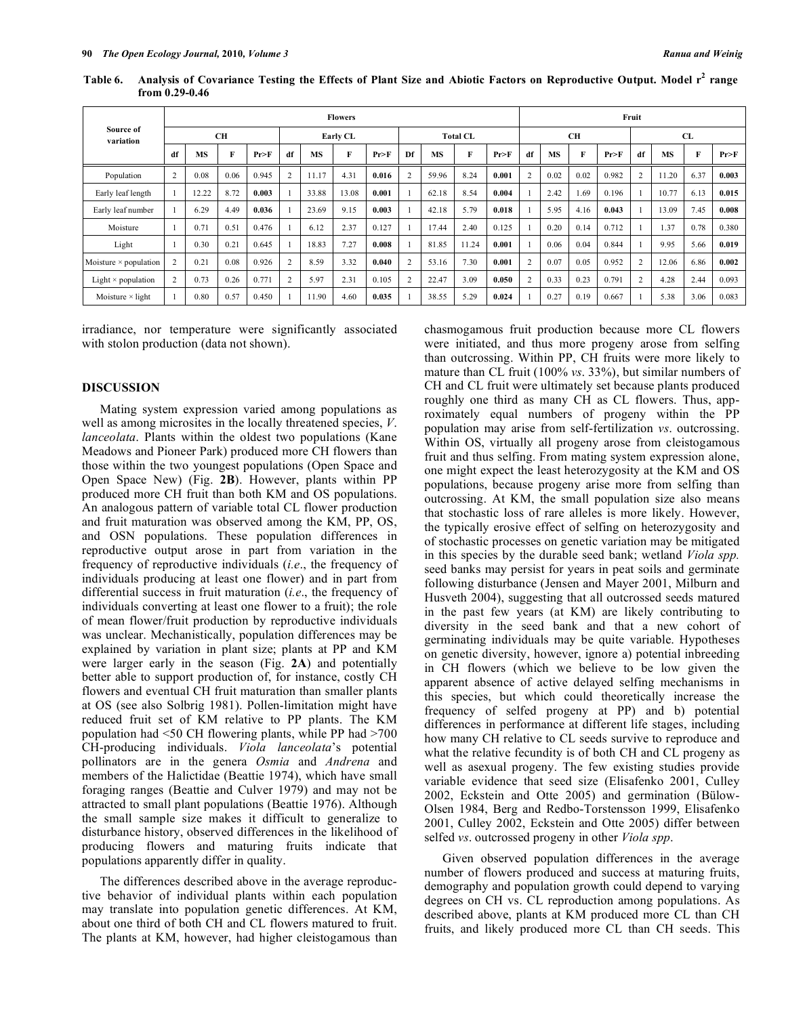|                              |                | <b>Flowers</b> |      |          |                |       |                 |        |    |           |       |       | Fruit          |           |      |        |    |           |      |       |
|------------------------------|----------------|----------------|------|----------|----------------|-------|-----------------|--------|----|-----------|-------|-------|----------------|-----------|------|--------|----|-----------|------|-------|
| Source of<br>variation       | <b>CH</b>      |                |      | Early CL |                |       | <b>Total CL</b> |        |    | <b>CH</b> |       |       |                | <b>CL</b> |      |        |    |           |      |       |
|                              | df             | <b>MS</b>      | F    | Pr > F   | df             | MS    | F               | Pr > F | Df | <b>MS</b> | F     | Pr>F  | df             | <b>MS</b> | F    | Pr > F | df | <b>MS</b> | F    | Pr>F  |
| Population                   | $\overline{2}$ | 0.08           | 0.06 | 0.945    | $\overline{2}$ | 11.17 | 4.31            | 0.016  |    | 59.96     | 8.24  | 0.001 | $\overline{2}$ | 0.02      | 0.02 | 0.982  | 2  | 11.20     | 6.37 | 0.003 |
| Early leaf length            |                | 12.22          | 8.72 | 0.003    |                | 33.88 | 13.08           | 0.001  |    | 62.18     | 8.54  | 0.004 |                | 2.42      | 1.69 | 0.196  |    | 10.77     | 6.13 | 0.015 |
| Early leaf number            |                | 6.29           | 4.49 | 0.036    |                | 23.69 | 9.15            | 0.003  |    | 42.18     | 5.79  | 0.018 |                | 5.95      | 4.16 | 0.043  |    | 13.09     | 7.45 | 0.008 |
| Moisture                     |                | 0.71           | 0.51 | 0.476    |                | 6.12  | 2.37            | 0.127  |    | 17.44     | 2.40  | 0.125 |                | 0.20      | 0.14 | 0.712  |    | 1.37      | 0.78 | 0.380 |
| Light                        |                | 0.30           | 0.21 | 0.645    |                | 18.83 | 7.27            | 0.008  |    | 81.85     | 11.24 | 0.001 |                | 0.06      | 0.04 | 0.844  |    | 9.95      | 5.66 | 0.019 |
| Moisture $\times$ population | $\overline{2}$ | 0.21           | 0.08 | 0.926    | $\overline{2}$ | 8.59  | 3.32            | 0.040  |    | 53.16     | 7.30  | 0.001 | $\overline{2}$ | 0.07      | 0.05 | 0.952  | 2  | 12.06     | 6.86 | 0.002 |
| Light $\times$ population    | $\overline{2}$ | 0.73           | 0.26 | 0.771    | $\overline{2}$ | 5.97  | 2.31            | 0.105  |    | 22.47     | 3.09  | 0.050 | $\overline{2}$ | 0.33      | 0.23 | 0.791  | 2  | 4.28      | 2.44 | 0.093 |
| Moisture $\times$ light      |                | 0.80           | 0.57 | 0.450    |                | 11.90 | 4.60            | 0.035  |    | 38.55     | 5.29  | 0.024 |                | 0.27      | 0.19 | 0.667  |    | 5.38      | 3.06 | 0.083 |

Table 6. Analysis of Covariance Testing the Effects of Plant Size and Abiotic Factors on Reproductive Output. Model r<sup>2</sup> range **from 0.29-0.46**

irradiance, nor temperature were significantly associated with stolon production (data not shown).

# **DISCUSSION**

Mating system expression varied among populations as well as among microsites in the locally threatened species, *V*. *lanceolata*. Plants within the oldest two populations (Kane Meadows and Pioneer Park) produced more CH flowers than those within the two youngest populations (Open Space and Open Space New) (Fig. **2B**). However, plants within PP produced more CH fruit than both KM and OS populations. An analogous pattern of variable total CL flower production and fruit maturation was observed among the KM, PP, OS, and OSN populations. These population differences in reproductive output arose in part from variation in the frequency of reproductive individuals (*i.e*., the frequency of individuals producing at least one flower) and in part from differential success in fruit maturation (*i.e*., the frequency of individuals converting at least one flower to a fruit); the role of mean flower/fruit production by reproductive individuals was unclear. Mechanistically, population differences may be explained by variation in plant size; plants at PP and KM were larger early in the season (Fig. **2A**) and potentially better able to support production of, for instance, costly CH flowers and eventual CH fruit maturation than smaller plants at OS (see also Solbrig 1981). Pollen-limitation might have reduced fruit set of KM relative to PP plants. The KM population had <50 CH flowering plants, while PP had >700 CH-producing individuals. *Viola lanceolata*'s potential pollinators are in the genera *Osmia* and *Andrena* and members of the Halictidae (Beattie 1974), which have small foraging ranges (Beattie and Culver 1979) and may not be attracted to small plant populations (Beattie 1976). Although the small sample size makes it difficult to generalize to disturbance history, observed differences in the likelihood of producing flowers and maturing fruits indicate that populations apparently differ in quality.

The differences described above in the average reproductive behavior of individual plants within each population may translate into population genetic differences. At KM, about one third of both CH and CL flowers matured to fruit. The plants at KM, however, had higher cleistogamous than

chasmogamous fruit production because more CL flowers were initiated, and thus more progeny arose from selfing than outcrossing. Within PP, CH fruits were more likely to mature than CL fruit (100% *vs*. 33%), but similar numbers of CH and CL fruit were ultimately set because plants produced roughly one third as many CH as CL flowers. Thus, approximately equal numbers of progeny within the PP population may arise from self-fertilization *vs*. outcrossing. Within OS, virtually all progeny arose from cleistogamous fruit and thus selfing. From mating system expression alone, one might expect the least heterozygosity at the KM and OS populations, because progeny arise more from selfing than outcrossing. At KM, the small population size also means that stochastic loss of rare alleles is more likely. However, the typically erosive effect of selfing on heterozygosity and of stochastic processes on genetic variation may be mitigated in this species by the durable seed bank; wetland *Viola spp.* seed banks may persist for years in peat soils and germinate following disturbance (Jensen and Mayer 2001, Milburn and Husveth 2004), suggesting that all outcrossed seeds matured in the past few years (at KM) are likely contributing to diversity in the seed bank and that a new cohort of germinating individuals may be quite variable. Hypotheses on genetic diversity, however, ignore a) potential inbreeding in CH flowers (which we believe to be low given the apparent absence of active delayed selfing mechanisms in this species, but which could theoretically increase the frequency of selfed progeny at PP) and b) potential differences in performance at different life stages, including how many CH relative to CL seeds survive to reproduce and what the relative fecundity is of both CH and CL progeny as well as asexual progeny. The few existing studies provide variable evidence that seed size (Elisafenko 2001, Culley 2002, Eckstein and Otte 2005) and germination (Bülow-Olsen 1984, Berg and Redbo-Torstensson 1999, Elisafenko 2001, Culley 2002, Eckstein and Otte 2005) differ between selfed *vs*. outcrossed progeny in other *Viola spp*.

Given observed population differences in the average number of flowers produced and success at maturing fruits, demography and population growth could depend to varying degrees on CH vs. CL reproduction among populations. As described above, plants at KM produced more CL than CH fruits, and likely produced more CL than CH seeds. This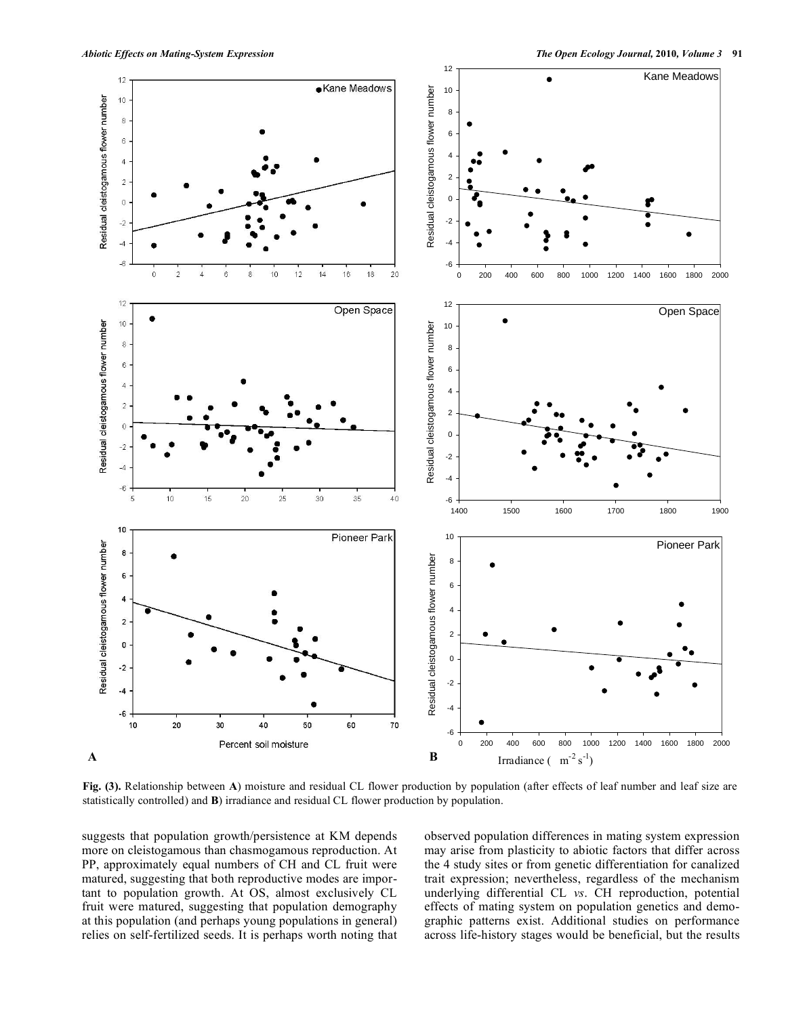

**Fig. (3).** Relationship between **A**) moisture and residual CL flower production by population (after effects of leaf number and leaf size are statistically controlled) and **B**) irradiance and residual CL flower production by population.

suggests that population growth/persistence at KM depends more on cleistogamous than chasmogamous reproduction. At PP, approximately equal numbers of CH and CL fruit were matured, suggesting that both reproductive modes are important to population growth. At OS, almost exclusively CL fruit were matured, suggesting that population demography at this population (and perhaps young populations in general) relies on self-fertilized seeds. It is perhaps worth noting that observed population differences in mating system expression may arise from plasticity to abiotic factors that differ across the 4 study sites or from genetic differentiation for canalized trait expression; nevertheless, regardless of the mechanism underlying differential CL *vs*. CH reproduction, potential effects of mating system on population genetics and demographic patterns exist. Additional studies on performance across life-history stages would be beneficial, but the results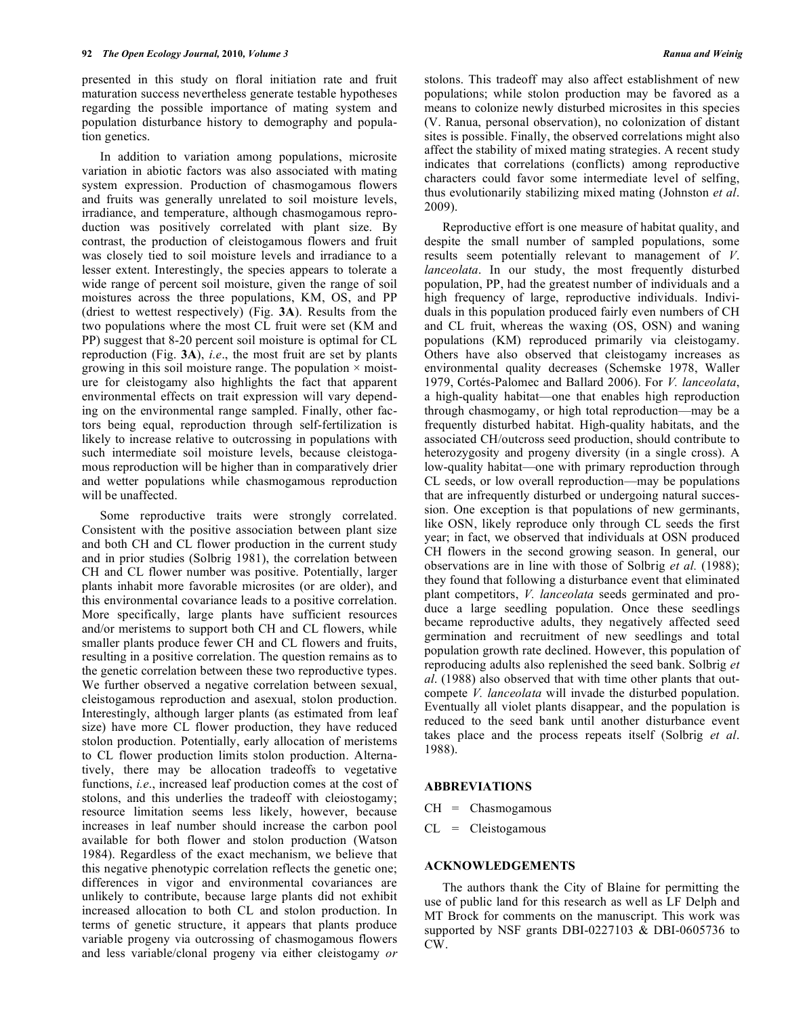presented in this study on floral initiation rate and fruit maturation success nevertheless generate testable hypotheses regarding the possible importance of mating system and population disturbance history to demography and population genetics.

In addition to variation among populations, microsite variation in abiotic factors was also associated with mating system expression. Production of chasmogamous flowers and fruits was generally unrelated to soil moisture levels, irradiance, and temperature, although chasmogamous reproduction was positively correlated with plant size. By contrast, the production of cleistogamous flowers and fruit was closely tied to soil moisture levels and irradiance to a lesser extent. Interestingly, the species appears to tolerate a wide range of percent soil moisture, given the range of soil moistures across the three populations, KM, OS, and PP (driest to wettest respectively) (Fig. **3A**). Results from the two populations where the most CL fruit were set (KM and PP) suggest that 8-20 percent soil moisture is optimal for CL reproduction (Fig. **3A**), *i.e*., the most fruit are set by plants growing in this soil moisture range. The population  $\times$  moisture for cleistogamy also highlights the fact that apparent environmental effects on trait expression will vary depending on the environmental range sampled. Finally, other factors being equal, reproduction through self-fertilization is likely to increase relative to outcrossing in populations with such intermediate soil moisture levels, because cleistogamous reproduction will be higher than in comparatively drier and wetter populations while chasmogamous reproduction will be unaffected.

Some reproductive traits were strongly correlated. Consistent with the positive association between plant size and both CH and CL flower production in the current study and in prior studies (Solbrig 1981), the correlation between CH and CL flower number was positive. Potentially, larger plants inhabit more favorable microsites (or are older), and this environmental covariance leads to a positive correlation. More specifically, large plants have sufficient resources and/or meristems to support both CH and CL flowers, while smaller plants produce fewer CH and CL flowers and fruits, resulting in a positive correlation. The question remains as to the genetic correlation between these two reproductive types. We further observed a negative correlation between sexual, cleistogamous reproduction and asexual, stolon production. Interestingly, although larger plants (as estimated from leaf size) have more CL flower production, they have reduced stolon production. Potentially, early allocation of meristems to CL flower production limits stolon production. Alternatively, there may be allocation tradeoffs to vegetative functions, *i.e*., increased leaf production comes at the cost of stolons, and this underlies the tradeoff with cleiostogamy; resource limitation seems less likely, however, because increases in leaf number should increase the carbon pool available for both flower and stolon production (Watson 1984). Regardless of the exact mechanism, we believe that this negative phenotypic correlation reflects the genetic one; differences in vigor and environmental covariances are unlikely to contribute, because large plants did not exhibit increased allocation to both CL and stolon production. In terms of genetic structure, it appears that plants produce variable progeny via outcrossing of chasmogamous flowers and less variable/clonal progeny via either cleistogamy *or*

stolons. This tradeoff may also affect establishment of new populations; while stolon production may be favored as a means to colonize newly disturbed microsites in this species (V. Ranua, personal observation), no colonization of distant sites is possible. Finally, the observed correlations might also affect the stability of mixed mating strategies. A recent study indicates that correlations (conflicts) among reproductive characters could favor some intermediate level of selfing, thus evolutionarily stabilizing mixed mating (Johnston *et al*. 2009).

Reproductive effort is one measure of habitat quality, and despite the small number of sampled populations, some results seem potentially relevant to management of *V*. *lanceolata*. In our study, the most frequently disturbed population, PP, had the greatest number of individuals and a high frequency of large, reproductive individuals. Individuals in this population produced fairly even numbers of CH and CL fruit, whereas the waxing (OS, OSN) and waning populations (KM) reproduced primarily via cleistogamy. Others have also observed that cleistogamy increases as environmental quality decreases (Schemske 1978, Waller 1979, Cortés-Palomec and Ballard 2006). For *V. lanceolata*, a high-quality habitat—one that enables high reproduction through chasmogamy, or high total reproduction—may be a frequently disturbed habitat. High-quality habitats, and the associated CH/outcross seed production, should contribute to heterozygosity and progeny diversity (in a single cross). A low-quality habitat—one with primary reproduction through CL seeds, or low overall reproduction—may be populations that are infrequently disturbed or undergoing natural succession. One exception is that populations of new germinants, like OSN, likely reproduce only through CL seeds the first year; in fact, we observed that individuals at OSN produced CH flowers in the second growing season. In general, our observations are in line with those of Solbrig *et al.* (1988); they found that following a disturbance event that eliminated plant competitors, *V. lanceolata* seeds germinated and produce a large seedling population. Once these seedlings became reproductive adults, they negatively affected seed germination and recruitment of new seedlings and total population growth rate declined. However, this population of reproducing adults also replenished the seed bank. Solbrig *et al*. (1988) also observed that with time other plants that outcompete *V. lanceolata* will invade the disturbed population. Eventually all violet plants disappear, and the population is reduced to the seed bank until another disturbance event takes place and the process repeats itself (Solbrig *et al*. 1988).

# **ABBREVIATIONS**

- $CH = Chasmogamous$
- $CL = Cleistogamous$

## **ACKNOWLEDGEMENTS**

The authors thank the City of Blaine for permitting the use of public land for this research as well as LF Delph and MT Brock for comments on the manuscript. This work was supported by NSF grants DBI-0227103 & DBI-0605736 to CW.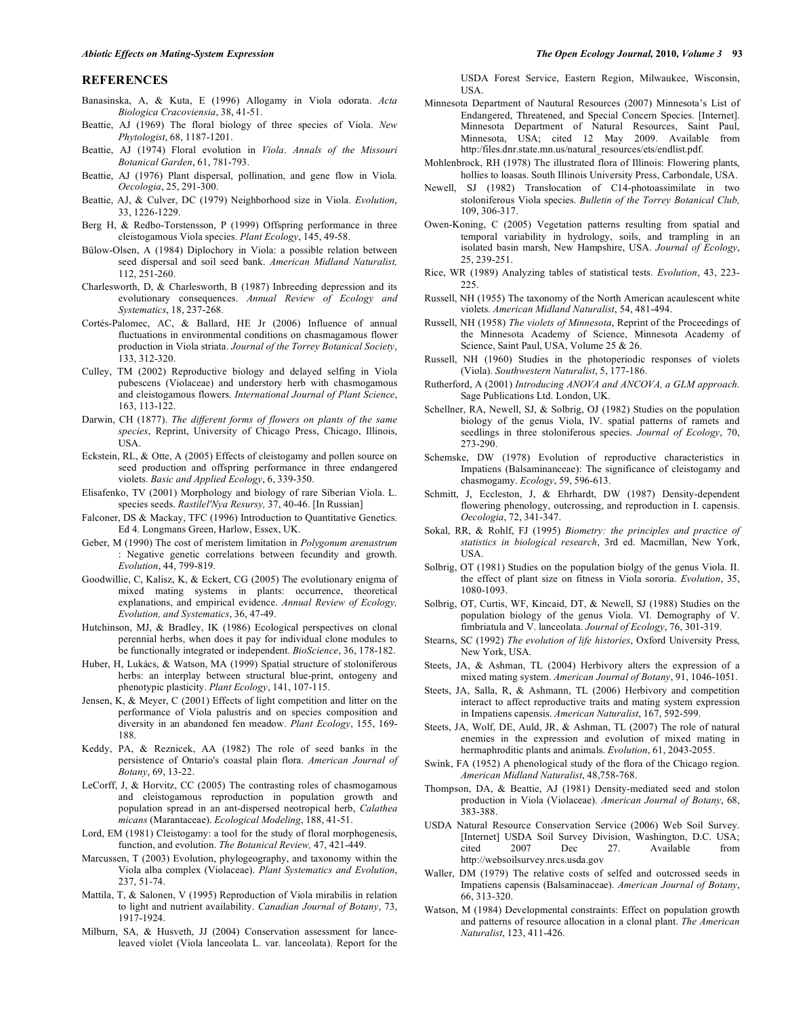### **REFERENCES**

- Banasinska, A, & Kuta, E (1996) Allogamy in Viola odorata. *Acta Biologica Cracoviensia*, 38, 41-51.
- Beattie, AJ (1969) The floral biology of three species of Viola. *New Phytologist*, 68, 1187-1201.
- Beattie, AJ (1974) Floral evolution in *Viola*. *Annals of the Missouri Botanical Garden*, 61, 781-793.
- Beattie, AJ (1976) Plant dispersal, pollination, and gene flow in Viola. *Oecologia*, 25, 291-300.
- Beattie, AJ, & Culver, DC (1979) Neighborhood size in Viola. *Evolution*, 33, 1226-1229.
- Berg H, & Redbo-Torstensson, P (1999) Offspring performance in three cleistogamous Viola species. *Plant Ecology*, 145, 49-58.
- Bülow-Olsen, A (1984) Diplochory in Viola: a possible relation between seed dispersal and soil seed bank. *American Midland Naturalist,* 112, 251-260.
- Charlesworth, D, & Charlesworth, B (1987) Inbreeding depression and its evolutionary consequences. *Annual Review of Ecology and Systematics*, 18, 237-268.
- Cortés-Palomec, AC, & Ballard, HE Jr (2006) Influence of annual fluctuations in environmental conditions on chasmagamous flower production in Viola striata. *Journal of the Torrey Botanical Society*, 133, 312-320.
- Culley, TM (2002) Reproductive biology and delayed selfing in Viola pubescens (Violaceae) and understory herb with chasmogamous and cleistogamous flowers. *International Journal of Plant Science*, 163, 113-122.
- Darwin, CH (1877). *The different forms of flowers on plants of the same species*, Reprint, University of Chicago Press, Chicago, Illinois, USA.
- Eckstein, RL, & Otte, A (2005) Effects of cleistogamy and pollen source on seed production and offspring performance in three endangered violets. *Basic and Applied Ecology*, 6, 339-350.
- Elisafenko, TV (2001) Morphology and biology of rare Siberian Viola. L. species seeds. *Rastilel'Nya Resursy,* 37, 40-46. [In Russian]
- Falconer, DS & Mackay, TFC (1996) Introduction to Quantitative Genetics. Ed 4. Longmans Green, Harlow, Essex, UK.
- Geber, M (1990) The cost of meristem limitation in *Polygonum arenastrum* : Negative genetic correlations between fecundity and growth. *Evolution*, 44, 799-819.
- Goodwillie, C, Kalisz, K, & Eckert, CG (2005) The evolutionary enigma of mixed mating systems in plants: occurrence, theoretical explanations, and empirical evidence. *Annual Review of Ecology, Evolution, and Systematics*, 36, 47-49.
- Hutchinson, MJ, & Bradley, IK (1986) Ecological perspectives on clonal perennial herbs, when does it pay for individual clone modules to be functionally integrated or independent. *BioScience*, 36, 178-182.
- Huber, H, Lukács, & Watson, MA (1999) Spatial structure of stoloniferous herbs: an interplay between structural blue-print, ontogeny and phenotypic plasticity. *Plant Ecology*, 141, 107-115.
- Jensen, K, & Meyer, C (2001) Effects of light competition and litter on the performance of Viola palustris and on species composition and diversity in an abandoned fen meadow. *Plant Ecology*, 155, 169- 188.
- Keddy, PA, & Reznicek, AA (1982) The role of seed banks in the persistence of Ontario's coastal plain flora. *American Journal of Botany*, 69, 13-22.
- LeCorff, J, & Horvitz, CC (2005) The contrasting roles of chasmogamous and cleistogamous reproduction in population growth and population spread in an ant-dispersed neotropical herb, *Calathea micans* (Marantaceae). *Ecological Modeling*, 188, 41-51.
- Lord, EM (1981) Cleistogamy: a tool for the study of floral morphogenesis, function, and evolution. *The Botanical Review,* 47, 421-449.
- Marcussen, T (2003) Evolution, phylogeography, and taxonomy within the Viola alba complex (Violaceae). *Plant Systematics and Evolution*, 237, 51-74.
- Mattila, T, & Salonen, V (1995) Reproduction of Viola mirabilis in relation to light and nutrient availability. *Canadian Journal of Botany*, 73, 1917-1924.
- Milburn, SA, & Husveth, JJ (2004) Conservation assessment for lanceleaved violet (Viola lanceolata L. var. lanceolata). Report for the

USDA Forest Service, Eastern Region, Milwaukee, Wisconsin, USA.

- Minnesota Department of Nautural Resources (2007) Minnesota's List of Endangered, Threatened, and Special Concern Species. [Internet]. Minnesota Department of Natural Resources, Saint Paul, Minnesota, USA; cited 12 May 2009. Available from http:/files.dnr.state.mn.us/natural\_resources/ets/endlist.pdf.
- Mohlenbrock, RH (1978) The illustrated flora of Illinois: Flowering plants, hollies to loasas. South Illinois University Press, Carbondale, USA.
- Newell, SJ (1982) Translocation of C14-photoassimilate in two stoloniferous Viola species. *Bulletin of the Torrey Botanical Club,* 109, 306-317.
- Owen-Koning, C (2005) Vegetation patterns resulting from spatial and temporal variability in hydrology, soils, and trampling in an isolated basin marsh, New Hampshire, USA. *Journal of Ecology*, 25, 239-251.
- Rice, WR (1989) Analyzing tables of statistical tests. *Evolution*, 43, 223- 225.
- Russell, NH (1955) The taxonomy of the North American acaulescent white violets. *American Midland Naturalist*, 54, 481-494.
- Russell, NH (1958) *The violets of Minnesota*, Reprint of the Proceedings of the Minnesota Academy of Science, Minnesota Academy of Science, Saint Paul, USA, Volume 25 & 26.
- Russell, NH (1960) Studies in the photoperiodic responses of violets (Viola). *Southwestern Naturalist*, 5, 177-186.
- Rutherford, A (2001) *Introducing ANOVA and ANCOVA, a GLM approach*. Sage Publications Ltd. London, UK.
- Schellner, RA, Newell, SJ, & Solbrig, OJ (1982) Studies on the population biology of the genus Viola, IV. spatial patterns of ramets and seedlings in three stoloniferous species. *Journal of Ecology*, 70, 273-290.
- Schemske, DW (1978) Evolution of reproductive characteristics in Impatiens (Balsaminanceae): The significance of cleistogamy and chasmogamy. *Ecology*, 59, 596-613.
- Schmitt, J, Eccleston, J, & Ehrhardt, DW (1987) Density-dependent flowering phenology, outcrossing, and reproduction in I. capensis. *Oecologia*, 72, 341-347.
- Sokal, RR, & Rohlf, FJ (1995) *Biometry: the principles and practice of statistics in biological research*, 3rd ed. Macmillan, New York, USA.
- Solbrig, OT (1981) Studies on the population biolgy of the genus Viola. II. the effect of plant size on fitness in Viola sororia. *Evolution*, 35, 1080-1093.
- Solbrig, OT, Curtis, WF, Kincaid, DT, & Newell, SJ (1988) Studies on the population biology of the genus Viola. VI. Demography of V. fimbriatula and V. lanceolata. *Journal of Ecology*, 76, 301-319.
- Stearns, SC (1992) *The evolution of life histories*, Oxford University Press, New York, USA.
- Steets, JA, & Ashman, TL (2004) Herbivory alters the expression of a mixed mating system. *American Journal of Botany*, 91, 1046-1051.
- Steets, JA, Salla, R, & Ashmann, TL (2006) Herbivory and competition interact to affect reproductive traits and mating system expression in Impatiens capensis. *American Naturalist*, 167, 592-599.
- Steets, JA, Wolf, DE, Auld, JR, & Ashman, TL (2007) The role of natural enemies in the expression and evolution of mixed mating in hermaphroditic plants and animals. *Evolution*, 61, 2043-2055.
- Swink, FA (1952) A phenological study of the flora of the Chicago region. *American Midland Naturalist*, 48,758-768.
- Thompson, DA, & Beattie, AJ (1981) Density-mediated seed and stolon production in Viola (Violaceae). *American Journal of Botany*, 68, 383-388.
- USDA Natural Resource Conservation Service (2006) Web Soil Survey. [Internet] USDA Soil Survey Division, Washington, D.C. USA; Dec 27. Available from http://websoilsurvey.nrcs.usda.gov
- Waller, DM (1979) The relative costs of selfed and outcrossed seeds in Impatiens capensis (Balsaminaceae). *American Journal of Botany*, 66, 313-320.
- Watson, M (1984) Developmental constraints: Effect on population growth and patterns of resource allocation in a clonal plant. *The American Naturalist*, 123, 411-426.